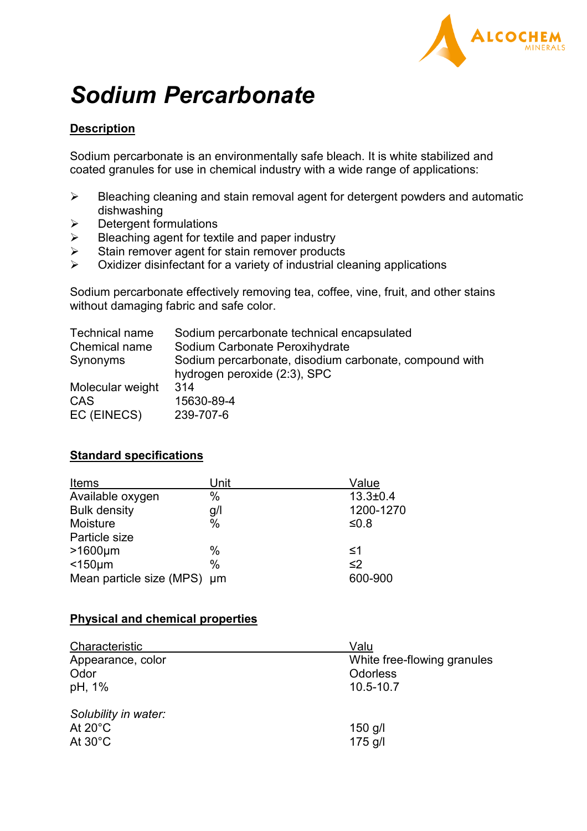

# *Sodium Percarbonate*

# **Description**

Sodium percarbonate is an environmentally safe bleach. It is white stabilized and coated granules for use in chemical industry with a wide range of applications:

- $\triangleright$  Bleaching cleaning and stain removal agent for detergent powders and automatic dishwashing
- $\triangleright$  Detergent formulations
- $\triangleright$  Bleaching agent for textile and paper industry
- $\triangleright$  Stain remover agent for stain remover products
- $\triangleright$  Oxidizer disinfectant for a variety of industrial cleaning applications

Sodium percarbonate effectively removing tea, coffee, vine, fruit, and other stains without damaging fabric and safe color.

| Technical name   | Sodium percarbonate technical encapsulated                                             |
|------------------|----------------------------------------------------------------------------------------|
| Chemical name    | Sodium Carbonate Peroxihydrate                                                         |
| Synonyms         | Sodium percarbonate, disodium carbonate, compound with<br>hydrogen peroxide (2:3), SPC |
| Molecular weight | 314                                                                                    |
| CAS              | 15630-89-4                                                                             |
| EC (EINECS)      | 239-707-6                                                                              |

### **Standard specifications**

| Items                    | Unit          | Value          |
|--------------------------|---------------|----------------|
| Available oxygen         | $\%$          | $13.3 \pm 0.4$ |
| <b>Bulk density</b>      | g/            | 1200-1270      |
| Moisture                 | $\frac{0}{0}$ | ≤0.8           |
| Particle size            |               |                |
| $>1600 \mu m$            | %             | ≤1             |
| $<$ 150 $\mu$ m          | $\%$          | $\leq$ 2       |
| Mean particle size (MPS) | µm            | 600-900        |

### **Physical and chemical properties**

| Characteristic       | Valu                         |
|----------------------|------------------------------|
| Appearance, color    | White free-flowing granules  |
| Odor<br>pH, 1%       | <b>Odorless</b><br>10.5-10.7 |
| Solubility in water: |                              |
| At $20^{\circ}$ C    | $150$ g/l                    |
| At $30^{\circ}$ C    | $175$ g/l                    |